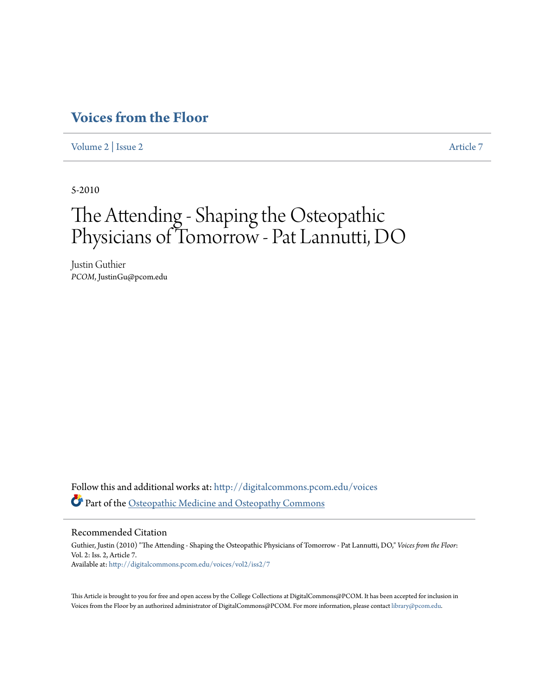## **[Voices from the Floor](http://digitalcommons.pcom.edu/voices?utm_source=digitalcommons.pcom.edu%2Fvoices%2Fvol2%2Fiss2%2F7&utm_medium=PDF&utm_campaign=PDFCoverPages)**

[Volume 2](http://digitalcommons.pcom.edu/voices/vol2?utm_source=digitalcommons.pcom.edu%2Fvoices%2Fvol2%2Fiss2%2F7&utm_medium=PDF&utm_campaign=PDFCoverPages) | [Issue 2](http://digitalcommons.pcom.edu/voices/vol2/iss2?utm_source=digitalcommons.pcom.edu%2Fvoices%2Fvol2%2Fiss2%2F7&utm_medium=PDF&utm_campaign=PDFCoverPages) [Article 7](http://digitalcommons.pcom.edu/voices/vol2/iss2/7?utm_source=digitalcommons.pcom.edu%2Fvoices%2Fvol2%2Fiss2%2F7&utm_medium=PDF&utm_campaign=PDFCoverPages)

5-2010

## The Attending - Shaping the Osteopathic Physicians of Tomorrow - Pat Lannutti, DO

Justin Guthier *PCOM*, JustinGu@pcom.edu

Follow this and additional works at: [http://digitalcommons.pcom.edu/voices](http://digitalcommons.pcom.edu/voices?utm_source=digitalcommons.pcom.edu%2Fvoices%2Fvol2%2Fiss2%2F7&utm_medium=PDF&utm_campaign=PDFCoverPages) Part of the [Osteopathic Medicine and Osteopathy Commons](http://network.bepress.com/hgg/discipline/697?utm_source=digitalcommons.pcom.edu%2Fvoices%2Fvol2%2Fiss2%2F7&utm_medium=PDF&utm_campaign=PDFCoverPages)

Recommended Citation

Guthier, Justin (2010) "The Attending - Shaping the Osteopathic Physicians of Tomorrow - Pat Lannutti, DO," *Voices from the Floor*: Vol. 2: Iss. 2, Article 7. Available at: [http://digitalcommons.pcom.edu/voices/vol2/iss2/7](http://digitalcommons.pcom.edu/voices/vol2/iss2/7?utm_source=digitalcommons.pcom.edu%2Fvoices%2Fvol2%2Fiss2%2F7&utm_medium=PDF&utm_campaign=PDFCoverPages)

This Article is brought to you for free and open access by the College Collections at DigitalCommons@PCOM. It has been accepted for inclusion in Voices from the Floor by an authorized administrator of DigitalCommons@PCOM. For more information, please contact [library@pcom.edu](mailto:library@pcom.edu).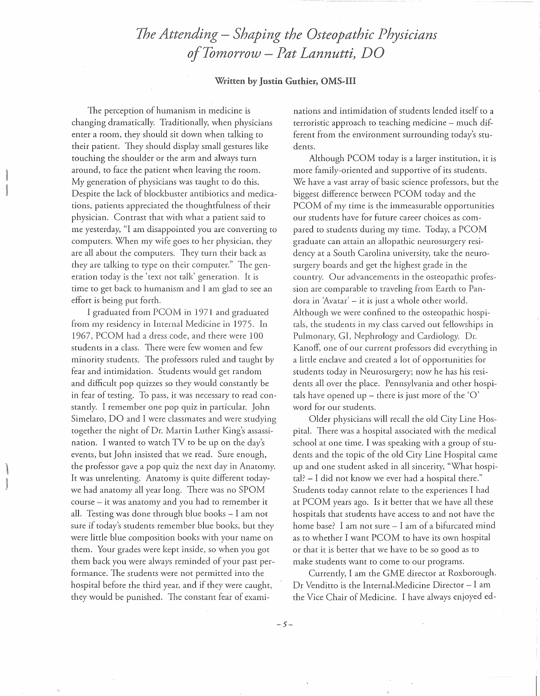## *The Attending- Shaping the Osteopathic Physicians ojTon1orrow* - *Pat Lannutti) DO*

## Written by Justin Guthier, OMS-III

The perception of humanism in medicine is changing dramatically. Traditionally, when physicians enter a room, they should sit down when talking to their patient. They should display small gestures like touching the shoulder or the arm and always turn around, to face the patient when leaving the room. My generation of physicians was taught to do this. Despite the lack of blockbuster antibiotics and medications, patients appreciated the thoughtfulness of their physician. Contrast that with what a patient said to me yesterday, "I am disappointed you are converting to computers. When my wife goes to her physician, they are all about the computers. They turn their back as they are talking to type on their computer." The generation today is the 'text not talk' generation. It is time to get back to humanism and I am glad to see an effort is being put forth.

I graduated from PCOM in 1971 and graduated from my residency in Internal Medicine in 1975. In 1967, PCOM had a dress code, and there were 100 students in a class. There were few women and few minority students. The professors ruled and taught by fear and intimidation. Students would get random and difficult pop quizzes so they would constantly be in fear of testing. To pass, it was necessary to read constantly. I remember one pop quiz in particular. John Simelaro, DO and I were classmates and were studying together the night of Dr. Martin Luther King's assassination. I wanted to watch TV to be up on the day's events, but John insisted that we read. Sure enough, the professor gave a pop quiz the next day in Anatomy. It was unrelenting. Anatomy is quite different todaywe had anatomy all year long. There was no SPOM course - it was anatomy and you had to remember it all. Testing was done through blue books - I am not sure if today's students remember blue books, but they were little blue composition books with your name on them. Your grades were kept inside, so when you got them back you were always reminded of your past performance. The students were not permitted into the hospital before the third year, and if they were caught, they would be punished. The constant fear of examinations and intimidation of students lended itself to a terroristic approach to teaching medicine – much different from the environment surrounding today's students.

Although PCOM today is a larger institution, it is more family-oriented and supportive of its students. We have a vast array of basic science professors, but the biggest difference between PCOM today and the PCOM of my time is the immeasurable opportunities our students have for future career choices as compared to students during my time. Today, a PCOM graduate can attain an allopathic neurosurgery residency at a South Carolina university, take the neurosurgery boards and get the highest grade in the country. Our advancements in the osteopathic profession are comparable to traveling from Earth to Pandora in 'Avatar' - it is just a whole other world. Although we were confined to the osteopathic hospitals, the students in my class carved out fellowships in Pulmonary, GI, Nephrology and Cardiology. Dr. Kanoff, one of our current professors did everything in a little enclave and created a lot of opportunities for students today in Neurosurgery; now he has his residents all over the place. Pennsylvania and other hospitals have opened up – there is just more of the ' $O'$ ' word for our students.

Older physicians will recall the old City Line Hospital. There was a hospital associated with the medical school at one time. I was speaking with a group of students and the topic of the old City Line Hospital came up and one student asked in all sincerity, "What hospital? - I did not know we ever had a hospital there." Students today cannot relate to the experiences I had at PCOM years ago. Is it better that we have all these hospitals that students have access to and not have the home base? I am not sure - I am of a bifurcated mind as to whether I want PCOM to have its own hospital or that it is better that we have to be so good as to make students want to come to our programs.

Currently, I am the GME director at Roxborough. Dr Venditto is the Internal.Medicine Director- I am the Vice Chair of Medicine. I have always enjoyed ed-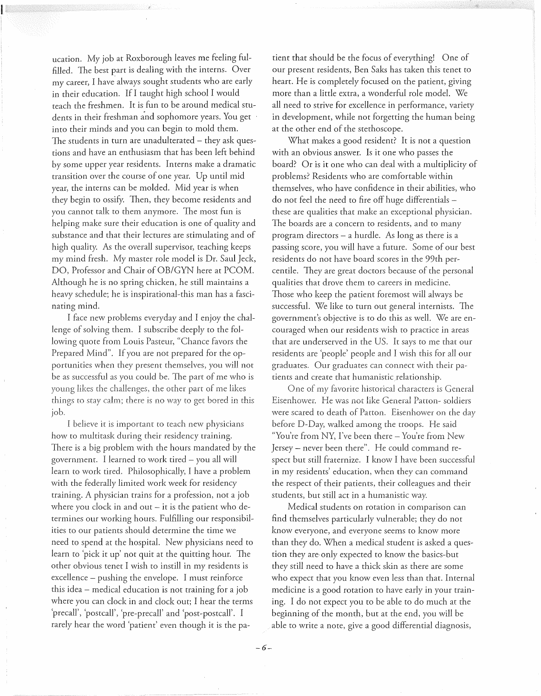ucation. My job at Roxborough leaves me feeling fulfilled. The best part is dealing with the interns. Over my career, I have always sought students who are early in their education. If I taught high school I would teach the freshmen. It is fun to be around medical students in their freshman and sophomore years. You get into their minds and you can begin to mold them. The students in turn are unadulterated  $-$  they ask questions and have an enthusiasm that has been left behind by some upper year residents. Interns make a dramatic transition over the course of one year. Up until mid year, the interns can be molded. Mid year is when they begin to ossify. Then, they become residents and you cannot talk to them anymore. The most fun is helping make sure their education is one of quality and substance and that their lectures are stimulating and of high quality. As the overall supervisor, teaching keeps my mind fresh. My master role model is Dr. Saul Jeck, DO, Professor and Chair of OB/GYN here at PCOM. Although he is no spring chicken, he still maintains a heavy schedule; he is inspirational-this man has a fascinating mind.

I face new problems everyday and I enjoy the challenge of solving them. I subscribe deeply to the following quote from Louis Pasteur, "Chance favors the Prepared Mind". If you are not prepared for the opportunities when they present themselves, you will not be as successful as you could be. The part of me who is young likes the challenges, the other part of me likes things to stay calm; there is no way to get bored in this job.

I believe it *is* important to teach new physicians how to multitask during their residency training. There is a big problem with the hours mandated by the government. I learned to work tired - you all will learn to work tired. Philosophically, I have a problem with the federally limited work week for residency training. A physician trains for a profession, not a job where you clock in and out  $-$  it is the patient who determines our working hours. Fulfilling our responsibilities to our patients should determine the time we need to spend at the hospital. New physicians need to learn to 'pick it up' not quit at the quitting hour. The other obvious tenet I wish to instill in my residents is excellence - pushing the envelope. I must reinforce this idea- medical education is not training for a job where you can clock in and clock out; I hear the terms 'precall', 'postcall', 'pre-p recall' and 'post-postcall'. I rarely hear the word 'patient' even though it is the patient that should be the focus of everything! One of our present residents, Ben Saks has taken this tenet to heart. He is completely focused on the patient, giving more than a little extra, a wonderful role model. We all need to strive for excellence in performance, variety in development, while not forgetting the human being at the other end of the stethoscope.

What makes a good resident? It is not a question with an obvious answer. Is it one who passes the board? Or is it one who can deal with a multiplicity of problems? Residents who are comfortable within themselves, who have confidence in their abilities, who do not feel the need to fire off huge differentials these are qualities that make an exceptional physician. The boards are a concern to residents, and to many program directors  $-$  a hurdle. As long as there is a passing score, you will have a future. Some of our best residents do not have board scores in the 99th percentile. They are great doctors because of the personal qualities that drove them to careers in medicine. Those who keep the patient foremost will always be successful. We like to turn out general internists. The government's objective is to do this as well. \Xle are encouraged when our residents wish to practice in areas that are underserved in the US. It says to me that our residents are 'people' people and I wish this for all our graduates. Our graduates can connect with their patients and create that humanistic relationship.

One of my favorite historical characters is General Eisenhower. He was not like General Patton- soldiers were scared to death of Patton. Eisenhower on the day before D-Day, walked among the troops. He said "You're from NY, I've been there- You're from New Jersey- never been there". He could command respect but still fraternize. I know I have been successful in my residents' education, when they can command the respect of their patients, their colleagues and their students, but still act in a humanistic way.

Medical students on rotation in comparison can find themselves particularly vulnerable; they do not know everyone, and everyone seems to know more than they do. When a medical student is asked a question they are· only expected to know the basics-but they still need to have a thick skin as there are some who expect that you know even less than that. Internal medicine is a good rotation to have early in your training. I do not expect you to be able to do much at the beginning of the month, but at the end, you will be able to write a note, give a good differential diagnosis,

*-6-*